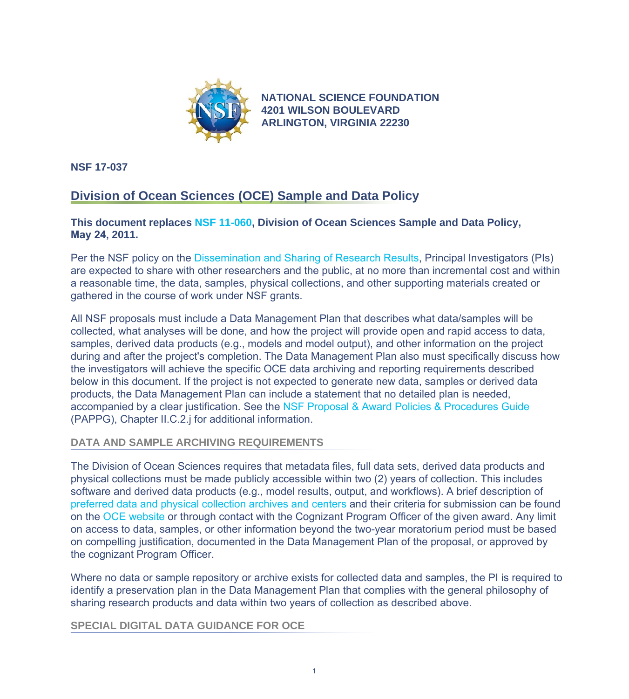

**[NATIONAL SCIENCE FOUNDATION](https://www.nsf.gov) 4201 WILSON BOULEVARD ARLINGTON, VIRGINIA 22230**

**NSF 17-037**

# **Division of Ocean Sciences (OCE) Sample and Data Policy**

### **This document replaces [NSF 11-060,](https://www.nsf.gov/publications/pub_summ.jsp?ods_key=nsf11060) Division of Ocean Sciences Sample and Data Policy, May 24, 2011.**

Per the NSF policy on the [Dissemination and Sharing of Research Results](https://www.nsf.gov/bfa/dias/policy/dmp.jsp), Principal Investigators (PIs) are expected to share with other researchers and the public, at no more than incremental cost and within a reasonable time, the data, samples, physical collections, and other supporting materials created or gathered in the course of work under NSF grants.

All NSF proposals must include a Data Management Plan that describes what data/samples will be collected, what analyses will be done, and how the project will provide open and rapid access to data, samples, derived data products (e.g., models and model output), and other information on the project during and after the project's completion. The Data Management Plan also must specifically discuss how the investigators will achieve the specific OCE data archiving and reporting requirements described below in this document. If the project is not expected to generate new data, samples or derived data products, the Data Management Plan can include a statement that no detailed plan is needed, accompanied by a clear justification. See the [NSF Proposal & Award Policies & Procedures Guide](https://www.nsf.gov/publications/pub_summ.jsp?ods_key=papp) (PAPPG), Chapter II.C.2.j for additional information.

## **DATA AND SAMPLE ARCHIVING REQUIREMENTS**

The Division of Ocean Sciences requires that metadata files, full data sets, derived data products and physical collections must be made publicly accessible within two (2) years of collection. This includes software and derived data products (e.g., model results, output, and workflows). A brief description of [preferred data and physical collection archives and centers](https://www.nsf.gov/geo/oce/oce-data-sample-repository-list.jsp) and their criteria for submission can be found on the [OCE website](https://www.nsf.gov/div/index.jsp?div=OCE) or through contact with the Cognizant Program Officer of the given award. Any limit on access to data, samples, or other information beyond the two-year moratorium period must be based on compelling justification, documented in the Data Management Plan of the proposal, or approved by the cognizant Program Officer.

Where no data or sample repository or archive exists for collected data and samples, the PI is required to identify a preservation plan in the Data Management Plan that complies with the general philosophy of sharing research products and data within two years of collection as described above.

#### **SPECIAL DIGITAL DATA GUIDANCE FOR OCE**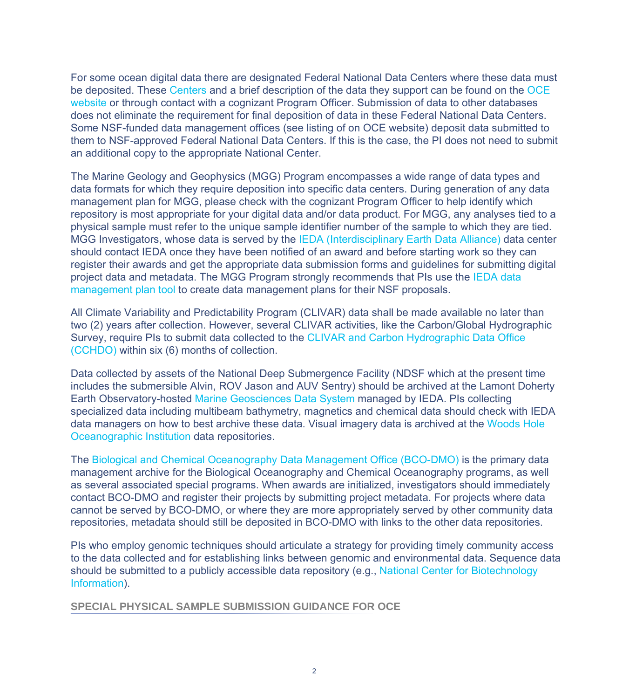For some ocean digital data there are designated Federal National Data Centers where these data must be deposited. These [Centers](https://www.nsf.gov/geo/oce/oce-data-sample-repository-list.jsp) and a brief description of the data they support can be found on the [OCE](https://www.nsf.gov/div/index.jsp?div=OCE) [website](https://www.nsf.gov/div/index.jsp?div=OCE) or through contact with a cognizant Program Officer. Submission of data to other databases does not eliminate the requirement for final deposition of data in these Federal National Data Centers. Some NSF-funded data management offices (see listing of on OCE website) deposit data submitted to them to NSF-approved Federal National Data Centers. If this is the case, the PI does not need to submit an additional copy to the appropriate National Center.

The Marine Geology and Geophysics (MGG) Program encompasses a wide range of data types and data formats for which they require deposition into specific data centers. During generation of any data management plan for MGG, please check with the cognizant Program Officer to help identify which repository is most appropriate for your digital data and/or data product. For MGG, any analyses tied to a physical sample must refer to the unique sample identifier number of the sample to which they are tied. MGG Investigators, whose data is served by the [IEDA \(Interdisciplinary Earth Data Alliance\)](https://www.nsf.gov/cgi-bin/goodbye?http://www.iedadata.org) data center should contact IEDA once they have been notified of an award and before starting work so they can register their awards and get the appropriate data submission forms and guidelines for submitting digital project data and metadata. The MGG Program strongly recommends that PIs use the [IEDA data](https://www.nsf.gov/cgi-bin/goodbye?http://www.iedadata.org/compliance/plan) [management plan tool](https://www.nsf.gov/cgi-bin/goodbye?http://www.iedadata.org/compliance/plan) to create data management plans for their NSF proposals.

All Climate Variability and Predictability Program (CLIVAR) data shall be made available no later than two (2) years after collection. However, several CLIVAR activities, like the Carbon/Global Hydrographic Survey, require PIs to submit data collected to the [CLIVAR and Carbon Hydrographic Data Office](https://www.nsf.gov/cgi-bin/goodbye?https://cchdo.ucsd.edu/) [\(CCHDO\)](https://www.nsf.gov/cgi-bin/goodbye?https://cchdo.ucsd.edu/) within six (6) months of collection.

Data collected by assets of the National Deep Submergence Facility (NDSF which at the present time includes the submersible Alvin, ROV Jason and AUV Sentry) should be archived at the Lamont Doherty Earth Observatory-hosted [Marine Geosciences Data System](https://www.nsf.gov/cgi-bin/goodbye?http://www.marine-geo.org/index.php) managed by IEDA. PIs collecting specialized data including multibeam bathymetry, magnetics and chemical data should check with IEDA data managers on how to best archive these data. Visual imagery data is archived at the [Woods Hole](https://www.nsf.gov/cgi-bin/goodbye?http://www.whoi.edu/data/) [Oceanographic Institution](https://www.nsf.gov/cgi-bin/goodbye?http://www.whoi.edu/data/) data repositories.

The [Biological and Chemical Oceanography Data Management Office \(BCO-DMO\)](https://www.nsf.gov/cgi-bin/goodbye?http://www.bco-dmo.org) is the primary data management archive for the Biological Oceanography and Chemical Oceanography programs, as well as several associated special programs. When awards are initialized, investigators should immediately contact BCO-DMO and register their projects by submitting project metadata. For projects where data cannot be served by BCO-DMO, or where they are more appropriately served by other community data repositories, metadata should still be deposited in BCO-DMO with links to the other data repositories.

PIs who employ genomic techniques should articulate a strategy for providing timely community access to the data collected and for establishing links between genomic and environmental data. Sequence data should be submitted to a publicly accessible data repository (e.g., [National Center for Biotechnology](https://www.ncbi.nlm.nih.gov/) [Information](https://www.ncbi.nlm.nih.gov/)).

**SPECIAL PHYSICAL SAMPLE SUBMISSION GUIDANCE FOR OCE**